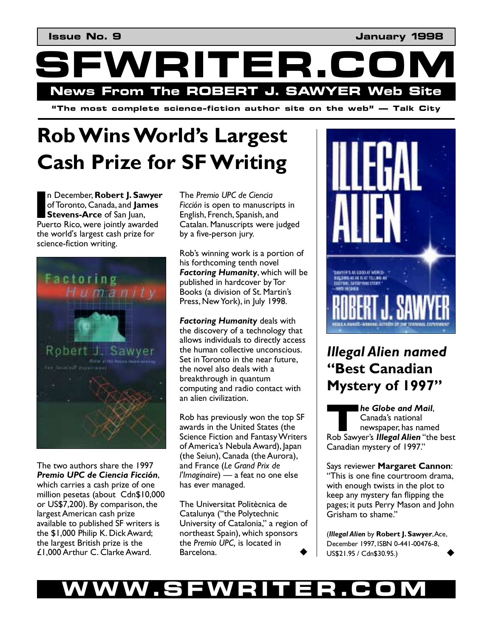WRITER.C **News From The ROBERT J. SAWYER Web Site** 

 $\mathbf{a}^*$  **i** The most complete science-fiction author site on the web"  $\rightarrow$  Talk City

## **Rob Wins World's Largest Cash Prize for SF Writing**

n December, **Robert J. Sawyer** of Toronto, Canada, and **James Stevens-Arce** of San Juan, **n December, Robert J. Sawyer**<br>of Toronto, Canada, and **James<br>Stevens-Arce** of San Juan,<br>Puerto Rico, were jointly awarded the world's largest cash prize for science-fiction writing.



The two authors share the 1997 **Premio UPC de Ciencia Ficción,** which carries a cash prize of one million pesetas (about Cdn\$10,000 or US\$7,200). By comparison, the largest American cash prize available to published SF writers is the \$1,000 Philip K. Dick Award; the largest British prize is the £1,000 Arthur C. Clarke Award.

The *Premio UPC de Ciencia Ficción* is open to manuscripts in English, French, Spanish, and Catalan. Manuscripts were judged by a five-person jury.

Rob's winning work is a portion of his forthcoming tenth novel *Factoring Humanity*, which will be published in hardcover by Tor Books (a division of St. Martin's Press, New York), in July 1998.

*Factoring Humanity* deals with the discovery of a technology that allows individuals to directly access the human collective unconscious. Set in Toronto in the near future, the novel also deals with a breakthrough in quantum computing and radio contact with an alien civilization.

Rob has previously won the top SF awards in the United States (the Science Fiction and Fantasy Writers of Americaís Nebula Award), Japan (the Seiun), Canada (the Aurora), and France (*Le Grand Prix de l'Imaginaire*) — a feat no one else has ever managed.

The Universitat Politècnica de Catalunya ("the Polytechnic University of Catalonia," a region of northeast Spain), which sponsors the *Premio UPC,* is located in Barcelona.



#### *Illegal Alien named*  **ìBest Canadian Mystery of 1997"**

*he Globe and Mail*, Canada's national newspaper, has named **Robiship Schools and Mail,**<br> **T Canada's national**<br> **The sawyer's Illegal Alien** "the best Canadian mystery of 1997."

Says reviewer **Margaret Cannon**: ìThis is one fine courtroom drama, with enough twists in the plot to keep any mystery fan flipping the pages; it puts Perry Mason and John Grisham to shame."

(*Illegal Alien* by **Robert J. Sawyer**, Ace, December 1997, ISBN 0-441-00476-8, US\$21.95 / Cdn\$30.95.) !

#### WW.SFWRITER.CO